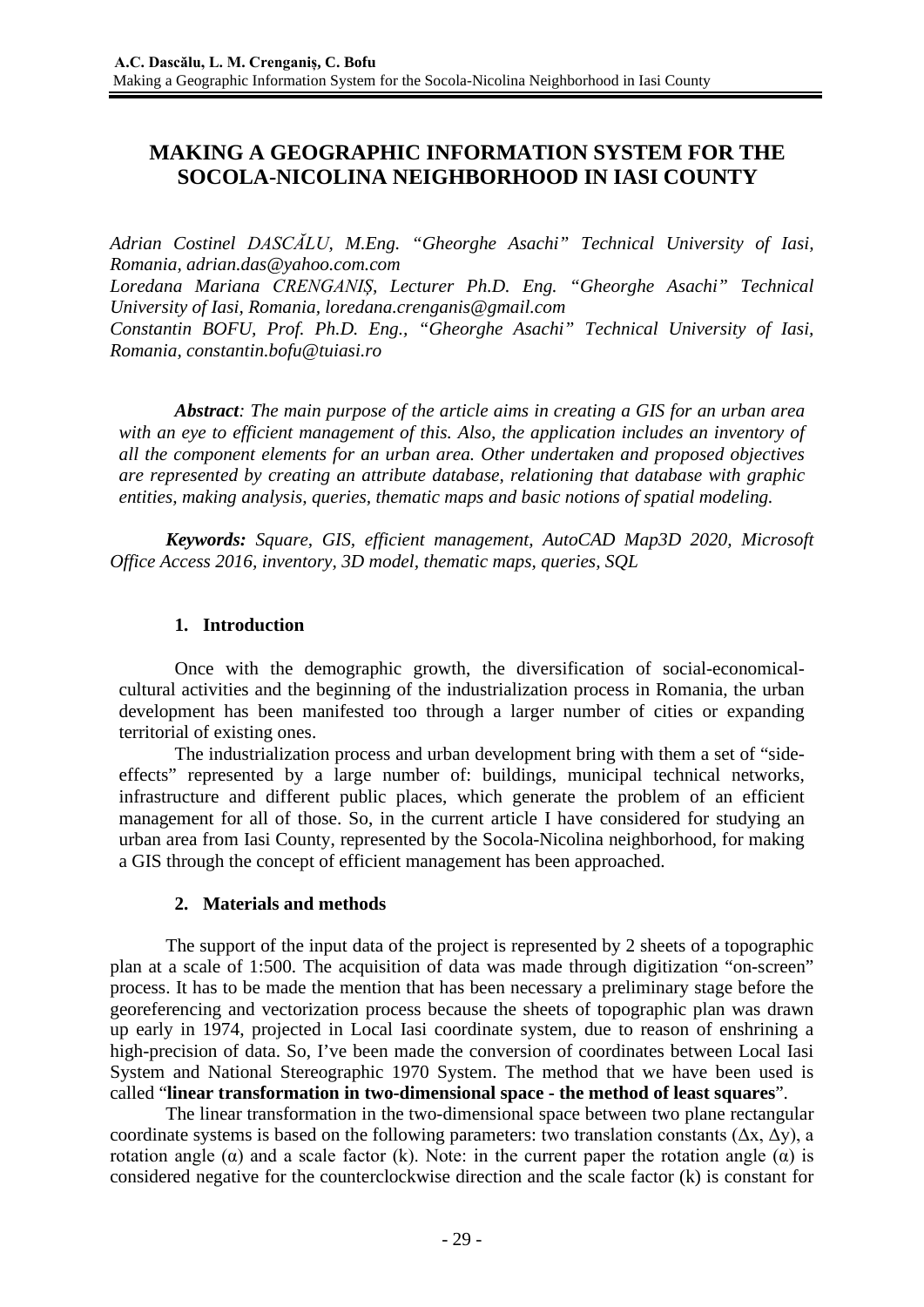# **MAKING A GEOGRAPHIC INFORMATION SYSTEM FOR THE SOCOLA-NICOLINA NEIGHBORHOOD IN IASI COUNTY**

*Adrian Costinel DASCĂLU, M.Eng. "Gheorghe Asachi" Technical University of Iasi, Romania, [adrian.das@yahoo.com.com](mailto:adrian.das@yahoo.com.com)*

*Loredana Mariana CRENGANIȘ, Lecturer Ph.D. Eng. "Gheorghe Asachi" Technical University of Iasi, Romania, [loredana.crenganis@gmail.com](mailto:loredana.crenganis@gmail.com)*

*Constantin BOFU, Prof. Ph.D. Eng., "Gheorghe Asachi" Technical University of Iasi, Romania, constantin.bofu@tuiasi.ro*

*Abstract: The main purpose of the article aims in creating a GIS for an urban area with an eye to efficient management of this. Also, the application includes an inventory of all the component elements for an urban area. Other undertaken and proposed objectives are represented by creating an attribute database, relationing that database with graphic entities, making analysis, queries, thematic maps and basic notions of spatial modeling.*

*Keywords: Square, GIS, efficient management, AutoCAD Map3D 2020, Microsoft Office Access 2016, inventory, 3D model, thematic maps, queries, SQL*

## **1. Introduction**

Once with the demographic growth, the diversification of social-economicalcultural activities and the beginning of the industrialization process in Romania, the urban development has been manifested too through a larger number of cities or expanding territorial of existing ones.

The industrialization process and urban development bring with them a set of "sideeffects" represented by a large number of: buildings, municipal technical networks, infrastructure and different public places, which generate the problem of an efficient management for all of those. So, in the current article I have considered for studying an urban area from Iasi County, represented by the Socola-Nicolina neighborhood, for making a GIS through the concept of efficient management has been approached.

## **2. Materials and methods**

The support of the input data of the project is represented by 2 sheets of a topographic plan at a scale of 1:500. The acquisition of data was made through digitization "on-screen" process. It has to be made the mention that has been necessary a preliminary stage before the georeferencing and vectorization process because the sheets of topographic plan was drawn up early in 1974, projected in Local Iasi coordinate system, due to reason of enshrining a high-precision of data. So, I've been made the conversion of coordinates between Local Iasi System and National Stereographic 1970 System. The method that we have been used is called "**linear transformation in two-dimensional space - the method of least squares**".

The linear transformation in the two-dimensional space between two plane rectangular coordinate systems is based on the following parameters: two translation constants  $(\Delta x, \Delta y)$ , a rotation angle (α) and a scale factor (k). Note: in the current paper the rotation angle (α) is considered negative for the counterclockwise direction and the scale factor (k) is constant for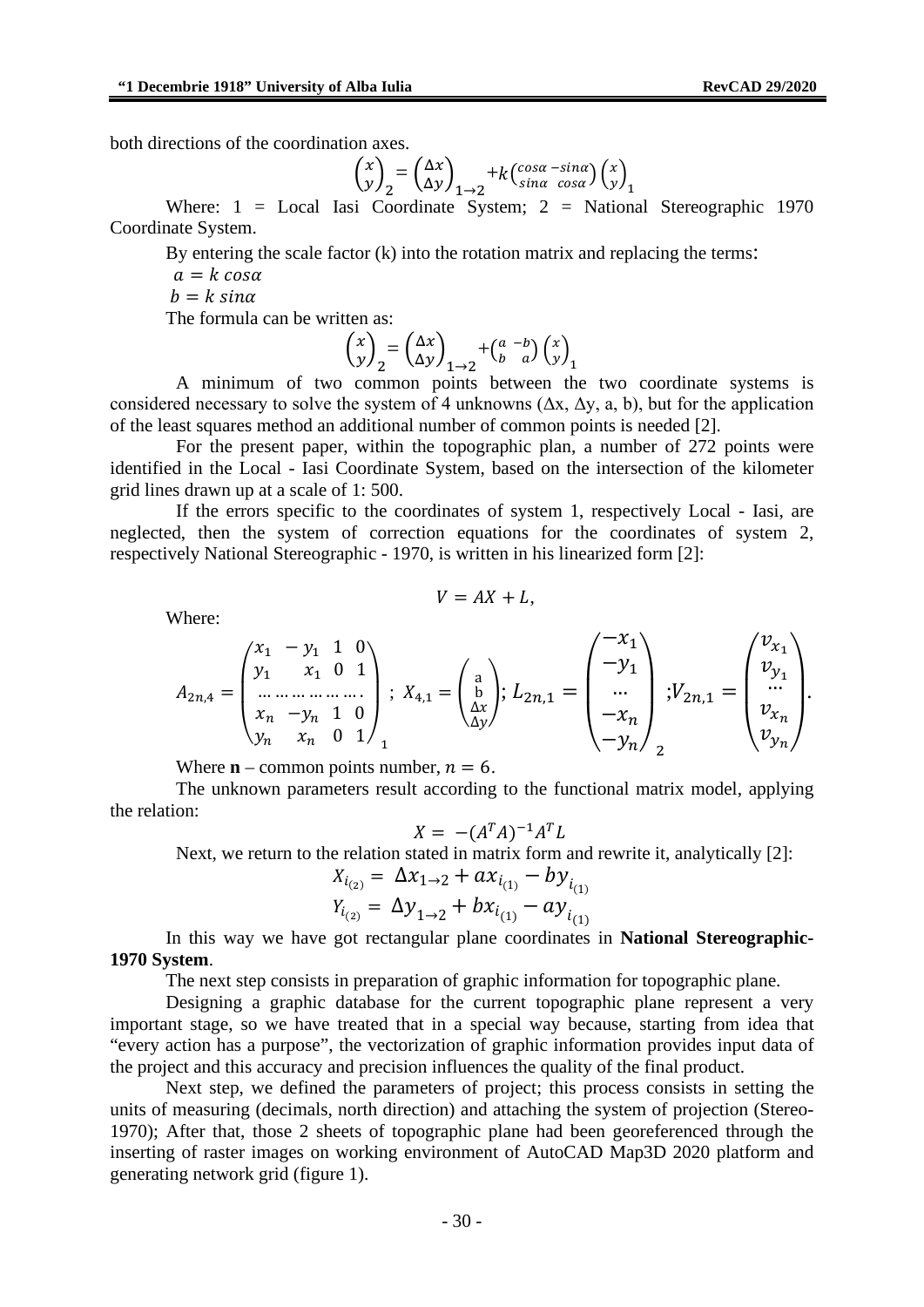both directions of the coordination axes.

$$
\begin{pmatrix} x \\ y \end{pmatrix}_2 = \begin{pmatrix} \Delta x \\ \Delta y \end{pmatrix}_{1 \to 2} + k \begin{pmatrix} \cos \alpha - \sin \alpha \\ \sin \alpha \cos \alpha \end{pmatrix} \begin{pmatrix} x \\ y \end{pmatrix}_1
$$

Where: 1 = Local Iasi Coordinate System; 2 = National Stereographic 1970 Coordinate System.

By entering the scale factor (k) into the rotation matrix and replacing the terms:

 $a=k \cos \alpha$  $b=k \sin \alpha$ 

The formula can be written as:

$$
\begin{pmatrix} x \\ y \end{pmatrix}_2 = \begin{pmatrix} \Delta x \\ \Delta y \end{pmatrix}_{1 \rightarrow 2} + \begin{pmatrix} a & -b \\ b & a \end{pmatrix} \begin{pmatrix} x \\ y \end{pmatrix}_1
$$

A minimum of two common points between the two coordinate systems is considered necessary to solve the system of 4 unknowns  $(\Delta x, \Delta y, a, b)$ , but for the application of the least squares method an additional number of common points is needed [2].

For the present paper, within the topographic plan, a number of 272 points were identified in the Local - Iasi Coordinate System, based on the intersection of the kilometer grid lines drawn up at a scale of 1: 500.

If the errors specific to the coordinates of system 1, respectively Local - Iasi, are neglected, then the system of correction equations for the coordinates of system 2, respectively National Stereographic - 1970, is written in his linearized form [2]:

Where:

$$
V = AX + L,
$$

$$
A_{2n,4} = \begin{pmatrix} x_1 & -y_1 & 1 & 0 \\ y_1 & x_1 & 0 & 1 \\ \dots & \dots & \dots & \dots \\ x_n & -y_n & 1 & 0 \\ y_n & x_n & 0 & 1 \end{pmatrix}; X_{4,1} = \begin{pmatrix} a \\ b \\ \Delta x \\ \Delta y \end{pmatrix}; L_{2n,1} = \begin{pmatrix} -x_1 \\ -y_1 \\ \dots \\ -x_n \\ -y_n \end{pmatrix}; V_{2n,1} = \begin{pmatrix} v_{x_1} \\ v_{y_1} \\ \dots \\ v_{y_n} \end{pmatrix}.
$$

Where  $\mathbf{n}$  – common points number,  $n = 6$ .

The unknown parameters result according to the functional matrix model, applying the relation:

$$
X = -(A^T A)^{-1} A^T L
$$

Next, we return to the relation stated in matrix form and rewrite it, analytically [2]:

$$
X_{i_{(2)}} = \Delta x_{1 \to 2} + a x_{i_{(1)}} - b y_{i_{(1)}}
$$
  

$$
Y_{i_{(2)}} = \Delta y_{1 \to 2} + b x_{i_{(1)}} - a y_{i_{(1)}}
$$

In this way we have got rectangular plane coordinates in **National Stereographic-1970 System**.

The next step consists in preparation of graphic information for topographic plane.

Designing a graphic database for the current topographic plane represent a very important stage, so we have treated that in a special way because, starting from idea that "every action has a purpose", the vectorization of graphic information provides input data of the project and this accuracy and precision influences the quality of the final product.

Next step, we defined the parameters of project; this process consists in setting the units of measuring (decimals, north direction) and attaching the system of projection (Stereo-1970); After that, those 2 sheets of topographic plane had been georeferenced through the inserting of raster images on working environment of AutoCAD Map3D 2020 platform and generating network grid (figure 1).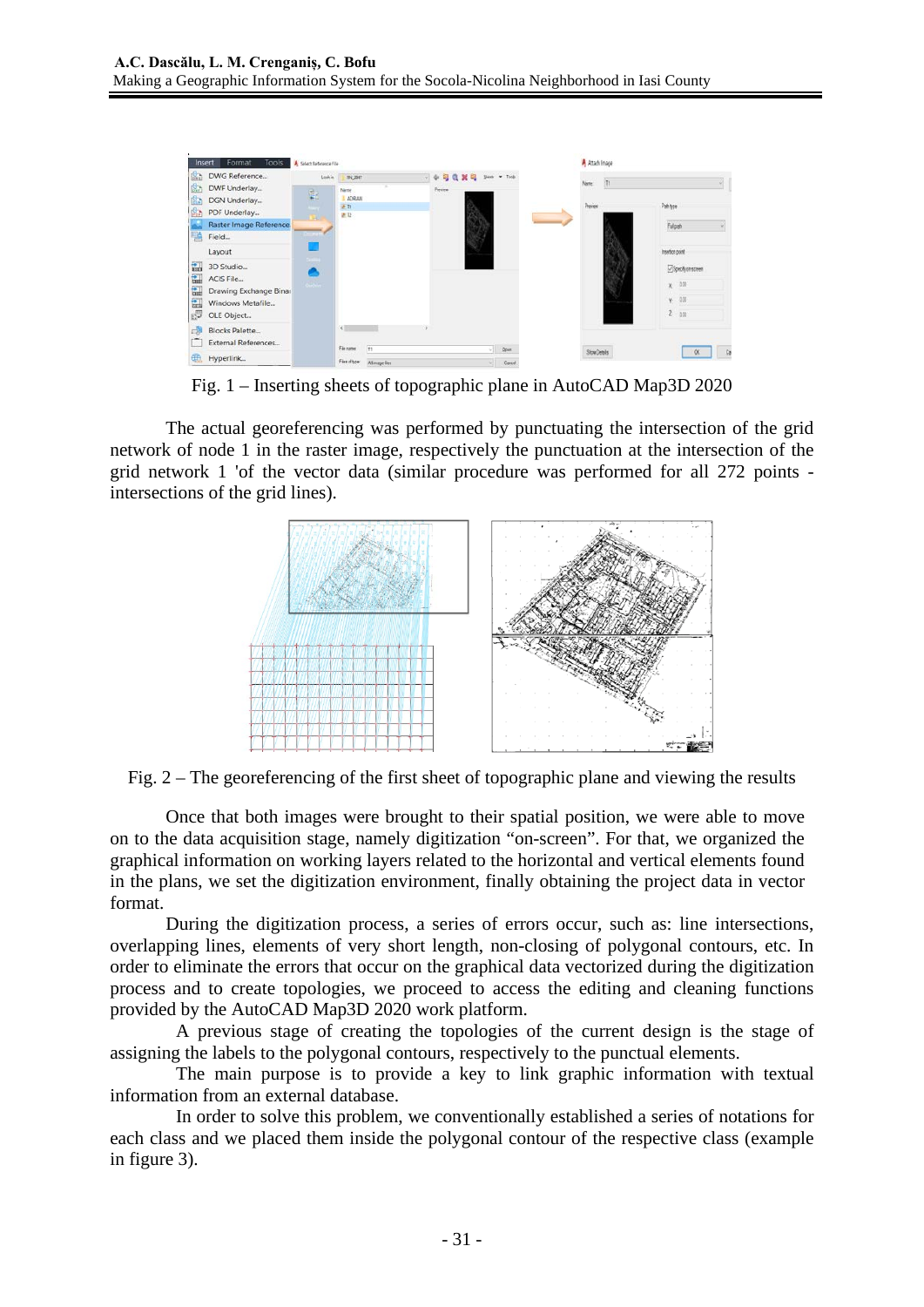

Fig. 1 – Inserting sheets of topographic plane in AutoCAD Map3D 2020

The actual georeferencing was performed by punctuating the intersection of the grid network of node 1 in the raster image, respectively the punctuation at the intersection of the grid network 1 'of the vector data (similar procedure was performed for all 272 points intersections of the grid lines).



Fig. 2 – The georeferencing of the first sheet of topographic plane and viewing the results

Once that both images were brought to their spatial position, we were able to move on to the data acquisition stage, namely digitization "on-screen". For that, we organized the graphical information on working layers related to the horizontal and vertical elements found in the plans, we set the digitization environment, finally obtaining the project data in vector format.

During the digitization process, a series of errors occur, such as: line intersections, overlapping lines, elements of very short length, non-closing of polygonal contours, etc. In order to eliminate the errors that occur on the graphical data vectorized during the digitization process and to create topologies, we proceed to access the editing and cleaning functions provided by the AutoCAD Map3D 2020 work platform.

A previous stage of creating the topologies of the current design is the stage of assigning the labels to the polygonal contours, respectively to the punctual elements.

The main purpose is to provide a key to link graphic information with textual information from an external database.

In order to solve this problem, we conventionally established a series of notations for each class and we placed them inside the polygonal contour of the respective class (example in figure 3).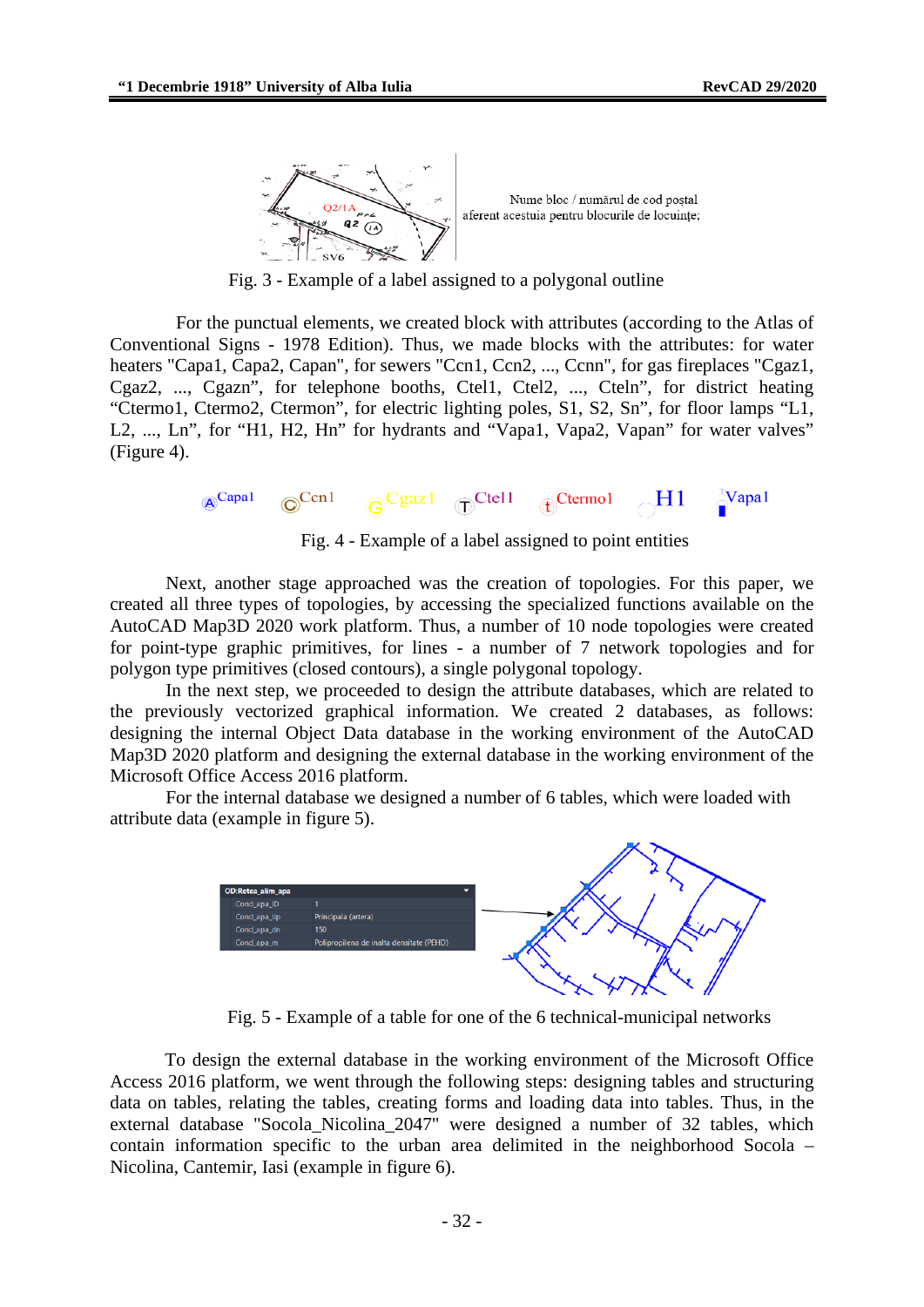

Fig. 3 - Example of a label assigned to a polygonal outline

For the punctual elements, we created block with attributes (according to the Atlas of Conventional Signs - 1978 Edition). Thus, we made blocks with the attributes: for water heaters "Capa1, Capa2, Capan", for sewers "Ccn1, Ccn2, ..., Ccnn", for gas fireplaces "Cgaz1, Cgaz2, ..., Cgazn", for telephone booths, Ctel1, Ctel2, ..., Cteln", for district heating "Ctermo1, Ctermo2, Ctermon", for electric lighting poles, S1, S2, Sn", for floor lamps "L1, L2, ..., Ln", for "H1, H2, Hn" for hydrants and "Vapa1, Vapa2, Vapan" for water valves" (Figure 4).

$$
\text{A}^{\text{Capal}} \quad \text{C}^{\text{Cen1}} \quad \text{G}^{\text{Cgaz1}} \quad \text{D}^{\text{Ctel1}} \quad \text{D}^{\text{Ctermol}} \quad \text{H1} \quad \text{Napal}
$$

Fig. 4 - Example of a label assigned to point entities

Next, another stage approached was the creation of topologies. For this paper, we created all three types of topologies, by accessing the specialized functions available on the AutoCAD Map3D 2020 work platform. Thus, a number of 10 node topologies were created for point-type graphic primitives, for lines - a number of 7 network topologies and for polygon type primitives (closed contours), a single polygonal topology.

In the next step, we proceeded to design the attribute databases, which are related to the previously vectorized graphical information. We created 2 databases, as follows: designing the internal Object Data database in the working environment of the AutoCAD Map3D 2020 platform and designing the external database in the working environment of the Microsoft Office Access 2016 platform.

For the internal database we designed a number of 6 tables, which were loaded with attribute data (example in figure 5).



Fig. 5 - Example of a table for one of the 6 technical-municipal networks

To design the external database in the working environment of the Microsoft Office Access 2016 platform, we went through the following steps: designing tables and structuring data on tables, relating the tables, creating forms and loading data into tables. Thus, in the external database "Socola\_Nicolina\_2047" were designed a number of 32 tables, which contain information specific to the urban area delimited in the neighborhood Socola – Nicolina, Cantemir, Iasi (example in figure 6).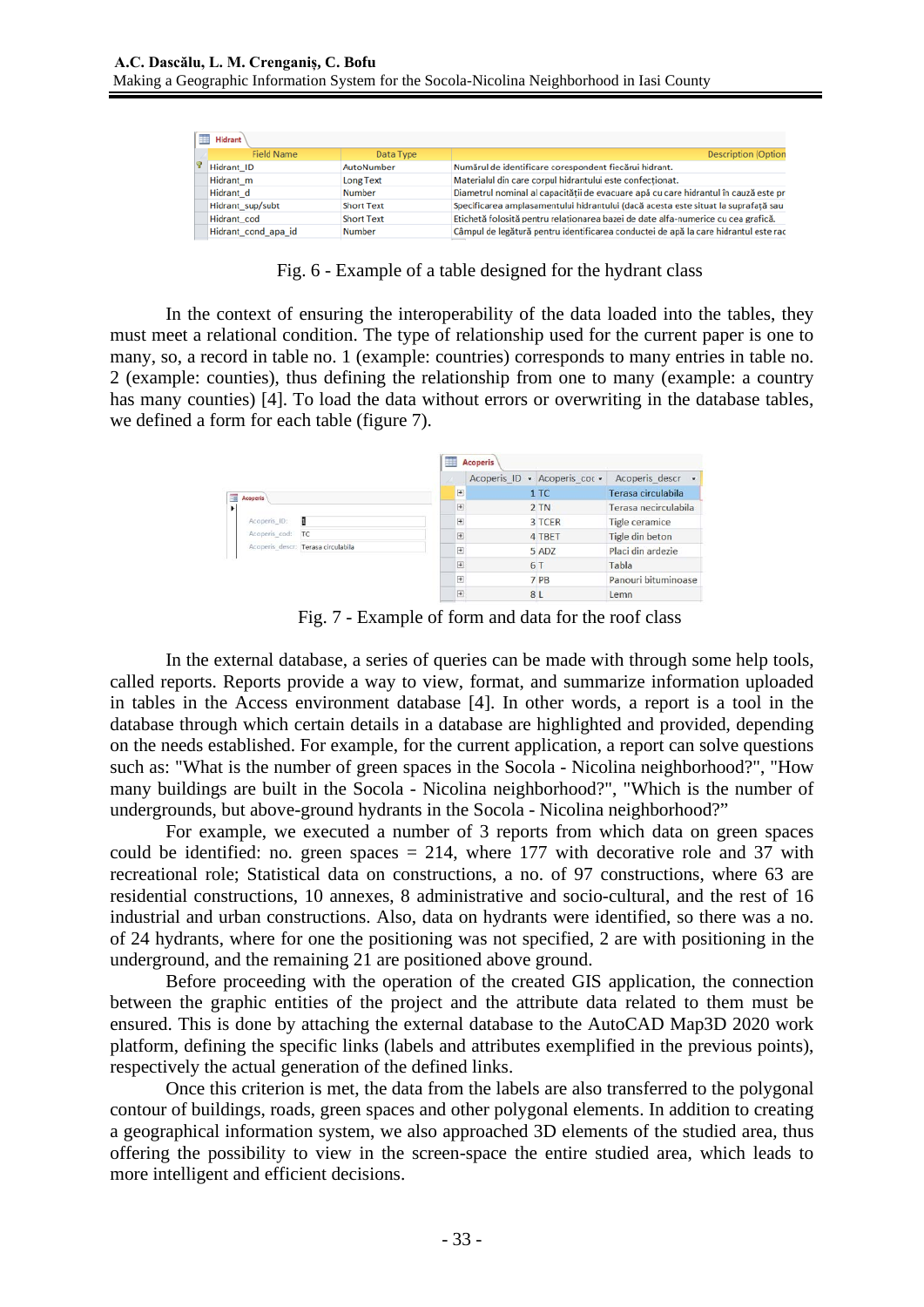| 軍<br>Hidrant |                     |                   |                                                                                     |  |  |  |  |
|--------------|---------------------|-------------------|-------------------------------------------------------------------------------------|--|--|--|--|
|              | <b>Field Name</b>   | Data Type         | <b>Description (Option</b>                                                          |  |  |  |  |
|              | Hidrant ID          | AutoNumber        | Numărul de identificare corespondent fiecărui hidrant.                              |  |  |  |  |
|              | Hidrant m           | <b>Long Text</b>  | Materialul din care corpul hidrantului este confectionat.                           |  |  |  |  |
|              | Hidrant d<br>Number |                   | Diametrul nominal al capacității de evacuare apă cu care hidrantul în cauză este pr |  |  |  |  |
|              | Hidrant_sup/subt    | <b>Short Text</b> | Specificarea amplasamentului hidrantului (dacă acesta este situat la suprafată sau  |  |  |  |  |
|              | Hidrant cod         | <b>Short Text</b> | Etichetă folosită pentru relationarea bazei de date alfa-numerice cu cea grafică.   |  |  |  |  |
|              | Hidrant cond apa id | Number            | Câmpul de legătură pentru identificarea conductei de apă la care hidrantul este rac |  |  |  |  |

Fig. 6 - Example of a table designed for the hydrant class

In the context of ensuring the interoperability of the data loaded into the tables, they must meet a relational condition. The type of relationship used for the current paper is one to many, so, a record in table no. 1 (example: countries) corresponds to many entries in table no. 2 (example: counties), thus defining the relationship from one to many (example: a country has many counties) [4]. To load the data without errors or overwriting in the database tables, we defined a form for each table (figure 7).

|                                    | <b>Acoperis</b><br>用 |  |                              |                                  |  |
|------------------------------------|----------------------|--|------------------------------|----------------------------------|--|
|                                    |                      |  | Acoperis ID . Acoperis coc . | Acoperis descr<br>$\blacksquare$ |  |
| 围<br>Acoperis                      | $+$                  |  | 1 TC                         | Terasa circulabila               |  |
| ۰                                  | $\overline{+}$       |  | $2$ TN                       | Terasa necirculabila             |  |
| Acoperis ID:<br>я                  | $\overline{+}$       |  | 3 TCER                       | Tigle ceramice                   |  |
| Acoperis cod:<br>TC                | $+$                  |  | 4 TBET                       | Tigle din beton                  |  |
| Acoperis descr: Terasa circulabila | $+$                  |  | 5 ADZ                        | Placi din ardezie                |  |
|                                    | $+$                  |  | 6 1                          | Tabla                            |  |
|                                    | $+$                  |  | 7 PB                         | Panouri bituminoase              |  |
|                                    | $\overline{+}$       |  | 8L                           | Lemn                             |  |

Fig. 7 - Example of form and data for the roof class

In the external database, a series of queries can be made with through some help tools, called reports. Reports provide a way to view, format, and summarize information uploaded in tables in the Access environment database [4]. In other words, a report is a tool in the database through which certain details in a database are highlighted and provided, depending on the needs established. For example, for the current application, a report can solve questions such as: "What is the number of green spaces in the Socola - Nicolina neighborhood?", "How many buildings are built in the Socola - Nicolina neighborhood?", "Which is the number of undergrounds, but above-ground hydrants in the Socola - Nicolina neighborhood?"

For example, we executed a number of 3 reports from which data on green spaces could be identified: no. green spaces  $= 214$ , where 177 with decorative role and 37 with recreational role; Statistical data on constructions, a no. of 97 constructions, where 63 are residential constructions, 10 annexes, 8 administrative and socio-cultural, and the rest of 16 industrial and urban constructions. Also, data on hydrants were identified, so there was a no. of 24 hydrants, where for one the positioning was not specified, 2 are with positioning in the underground, and the remaining 21 are positioned above ground.

Before proceeding with the operation of the created GIS application, the connection between the graphic entities of the project and the attribute data related to them must be ensured. This is done by attaching the external database to the AutoCAD Map3D 2020 work platform, defining the specific links (labels and attributes exemplified in the previous points), respectively the actual generation of the defined links.

Once this criterion is met, the data from the labels are also transferred to the polygonal contour of buildings, roads, green spaces and other polygonal elements. In addition to creating a geographical information system, we also approached 3D elements of the studied area, thus offering the possibility to view in the screen-space the entire studied area, which leads to more intelligent and efficient decisions.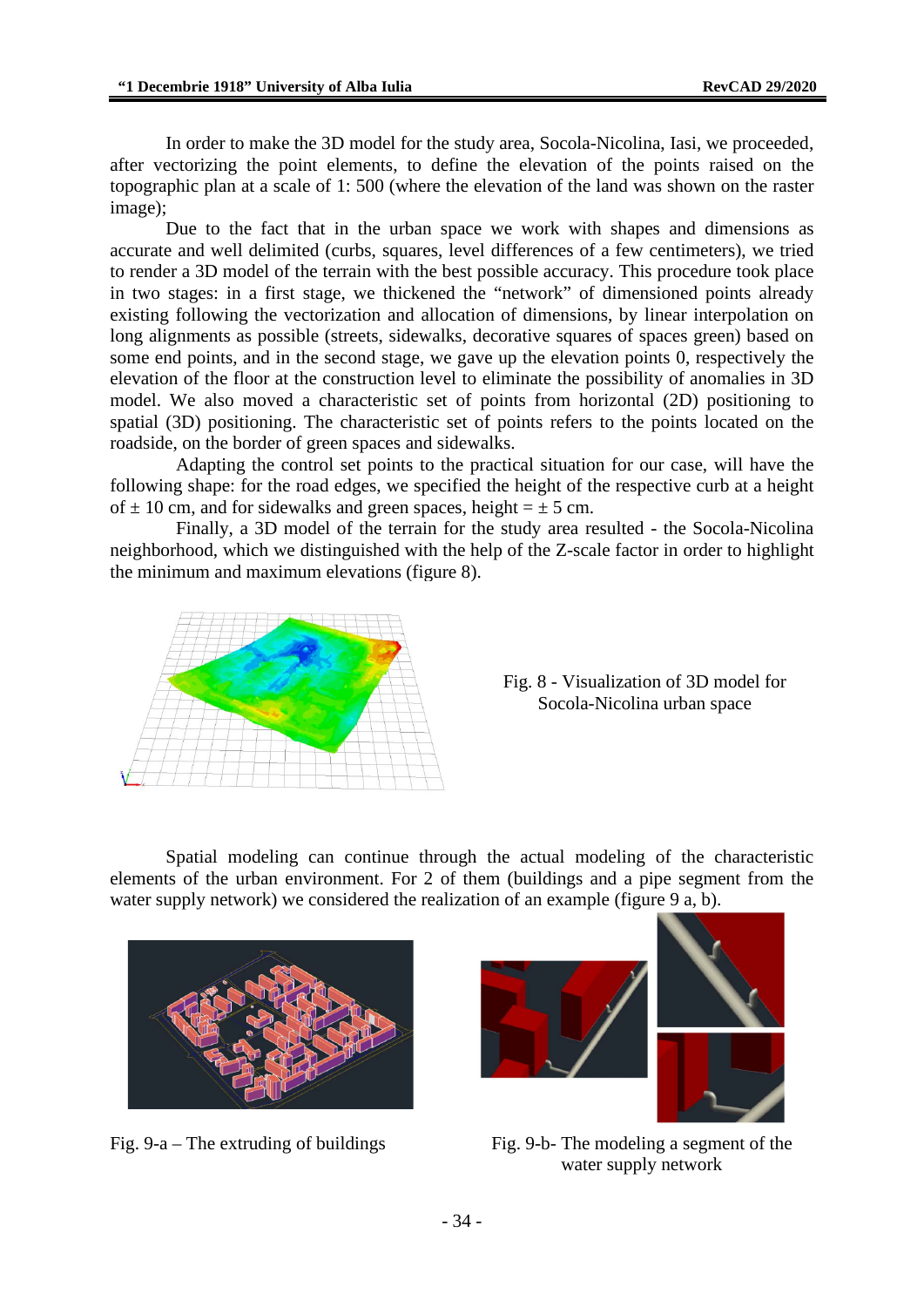In order to make the 3D model for the study area, Socola-Nicolina, Iasi, we proceeded, after vectorizing the point elements, to define the elevation of the points raised on the topographic plan at a scale of 1: 500 (where the elevation of the land was shown on the raster image);

Due to the fact that in the urban space we work with shapes and dimensions as accurate and well delimited (curbs, squares, level differences of a few centimeters), we tried to render a 3D model of the terrain with the best possible accuracy. This procedure took place in two stages: in a first stage, we thickened the "network" of dimensioned points already existing following the vectorization and allocation of dimensions, by linear interpolation on long alignments as possible (streets, sidewalks, decorative squares of spaces green) based on some end points, and in the second stage, we gave up the elevation points 0, respectively the elevation of the floor at the construction level to eliminate the possibility of anomalies in 3D model. We also moved a characteristic set of points from horizontal (2D) positioning to spatial (3D) positioning. The characteristic set of points refers to the points located on the roadside, on the border of green spaces and sidewalks.

Adapting the control set points to the practical situation for our case, will have the following shape: for the road edges, we specified the height of the respective curb at a height of  $\pm$  10 cm, and for sidewalks and green spaces, height =  $\pm$  5 cm.

Finally, a 3D model of the terrain for the study area resulted - the Socola-Nicolina neighborhood, which we distinguished with the help of the Z-scale factor in order to highlight the minimum and maximum elevations (figure 8).



Fig. 8 - Visualization of 3D model for Socola-Nicolina urban space

Spatial modeling can continue through the actual modeling of the characteristic elements of the urban environment. For 2 of them (buildings and a pipe segment from the water supply network) we considered the realization of an example (figure 9 a, b).



Fig. 9-a – The extruding of buildings Fig. 9-b- The modeling a segment of the



water supply network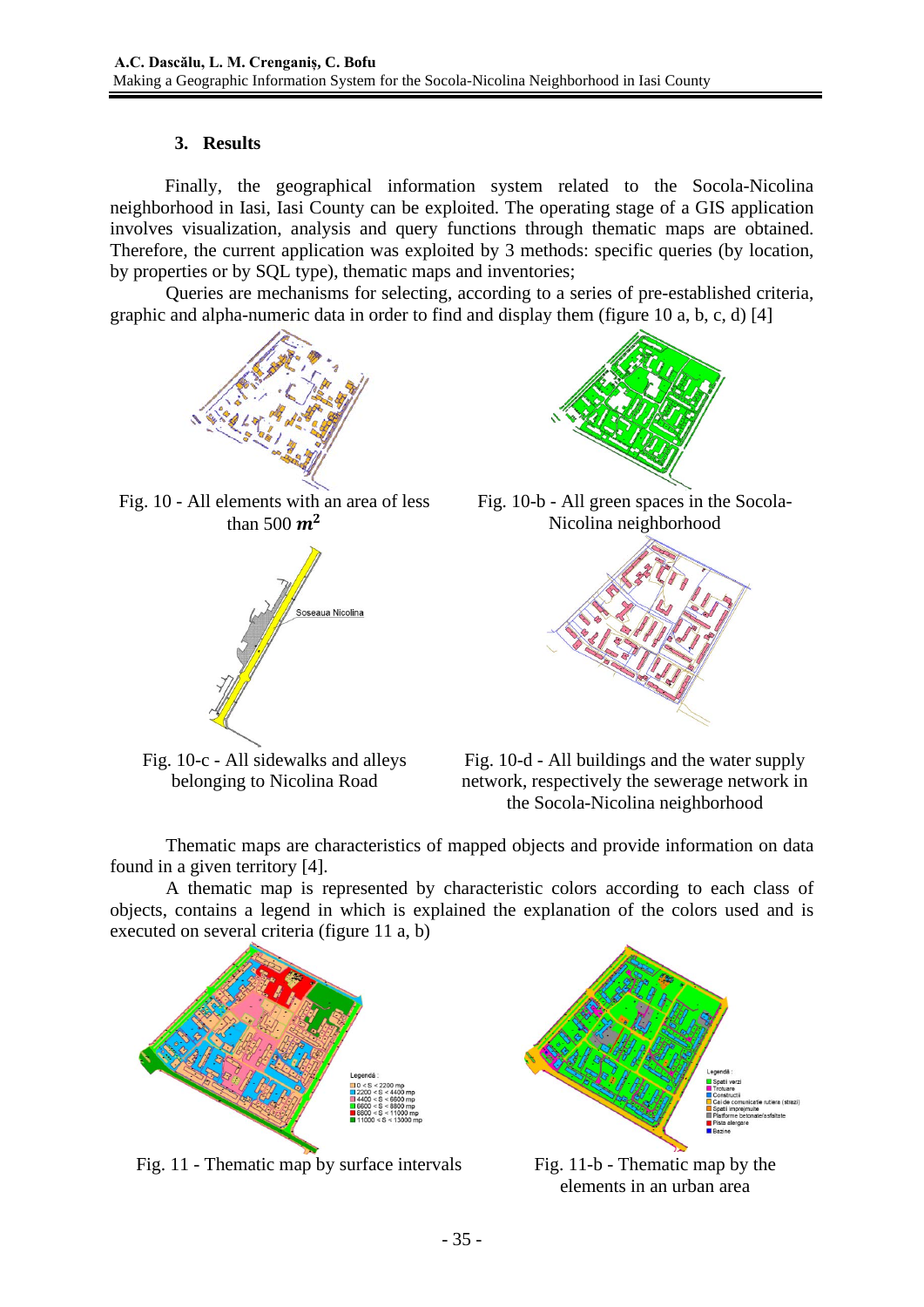## **3. Results**

Finally, the geographical information system related to the Socola-Nicolina neighborhood in Iasi, Iasi County can be exploited. The operating stage of a GIS application involves visualization, analysis and query functions through thematic maps are obtained. Therefore, the current application was exploited by 3 methods: specific queries (by location, by properties or by SQL type), thematic maps and inventories;

Queries are mechanisms for selecting, according to a series of pre-established criteria, graphic and alpha-numeric data in order to find and display them (figure 10 a, b, c, d) [4]







Fig. 10-c - All sidewalks and alleys belonging to Nicolina Road



Fig. 10-b - All green spaces in the Socola-Nicolina neighborhood



Fig. 10-d - All buildings and the water supply network, respectively the sewerage network in the Socola-Nicolina neighborhood

Thematic maps are characteristics of mapped objects and provide information on data found in a given territory [4].

A thematic map is represented by characteristic colors according to each class of objects, contains a legend in which is explained the explanation of the colors used and is executed on several criteria (figure 11 a, b)



Fig. 11 - Thematic map by surface intervals Fig. 11-b - Thematic map by the